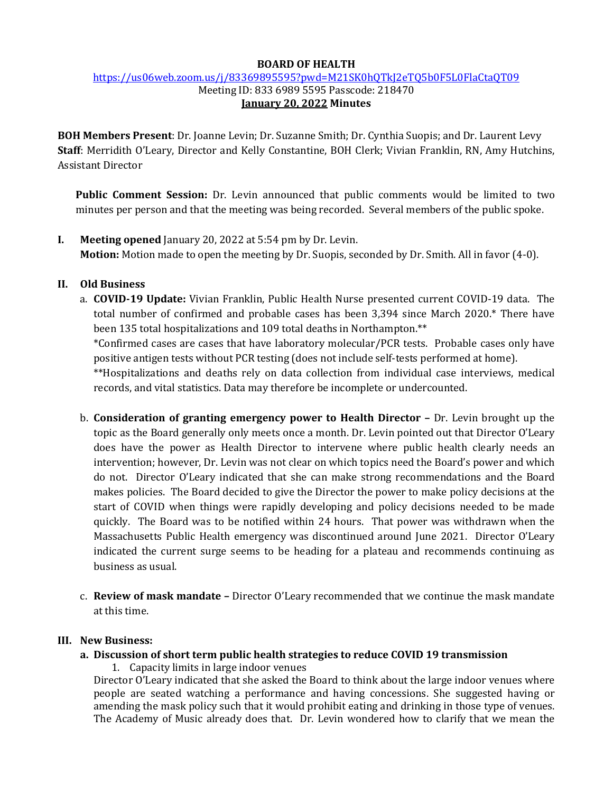#### **BOARD OF HEALTH**

#### <https://us06web.zoom.us/j/83369895595?pwd=M21SK0hQTkJ2eTQ5b0F5L0FlaCtaQT09> Meeting ID: 833 6989 5595 Passcode: 218470 **January 20, 2022 Minutes**

**BOH Members Present**: Dr. Joanne Levin; Dr. Suzanne Smith; Dr. Cynthia Suopis; and Dr. Laurent Levy **Staff**: Merridith O'Leary, Director and Kelly Constantine, BOH Clerk; Vivian Franklin, RN, Amy Hutchins, Assistant Director

**Public Comment Session:** Dr. Levin announced that public comments would be limited to two minutes per person and that the meeting was being recorded. Several members of the public spoke.

**I. Meeting opened** January 20, 2022 at 5:54 pm by Dr. Levin. **Motion:** Motion made to open the meeting by Dr. Suopis, seconded by Dr. Smith. All in favor (4-0).

## **II. Old Business**

a. **COVID-19 Update:** Vivian Franklin, Public Health Nurse presented current COVID-19 data. The total number of confirmed and probable cases has been 3,394 since March 2020.\* There have been 135 total hospitalizations and 109 total deaths in Northampton.\*\*

\*Confirmed cases are cases that have laboratory molecular/PCR tests. Probable cases only have positive antigen tests without PCR testing (does not include self-tests performed at home).

\*\*Hospitalizations and deaths rely on data collection from individual case interviews, medical records, and vital statistics. Data may therefore be incomplete or undercounted.

- b. **Consideration of granting emergency power to Health Director –** Dr. Levin brought up the topic as the Board generally only meets once a month. Dr. Levin pointed out that Director O'Leary does have the power as Health Director to intervene where public health clearly needs an intervention; however, Dr. Levin was not clear on which topics need the Board's power and which do not. Director O'Leary indicated that she can make strong recommendations and the Board makes policies. The Board decided to give the Director the power to make policy decisions at the start of COVID when things were rapidly developing and policy decisions needed to be made quickly. The Board was to be notified within 24 hours. That power was withdrawn when the Massachusetts Public Health emergency was discontinued around June 2021. Director O'Leary indicated the current surge seems to be heading for a plateau and recommends continuing as business as usual.
- c. **Review of mask mandate –** Director O'Leary recommended that we continue the mask mandate at this time.

#### **III. New Business:**

- **a. Discussion of short term public health strategies to reduce COVID 19 transmission**
	- 1. Capacity limits in large indoor venues

Director O'Leary indicated that she asked the Board to think about the large indoor venues where people are seated watching a performance and having concessions. She suggested having or amending the mask policy such that it would prohibit eating and drinking in those type of venues. The Academy of Music already does that. Dr. Levin wondered how to clarify that we mean the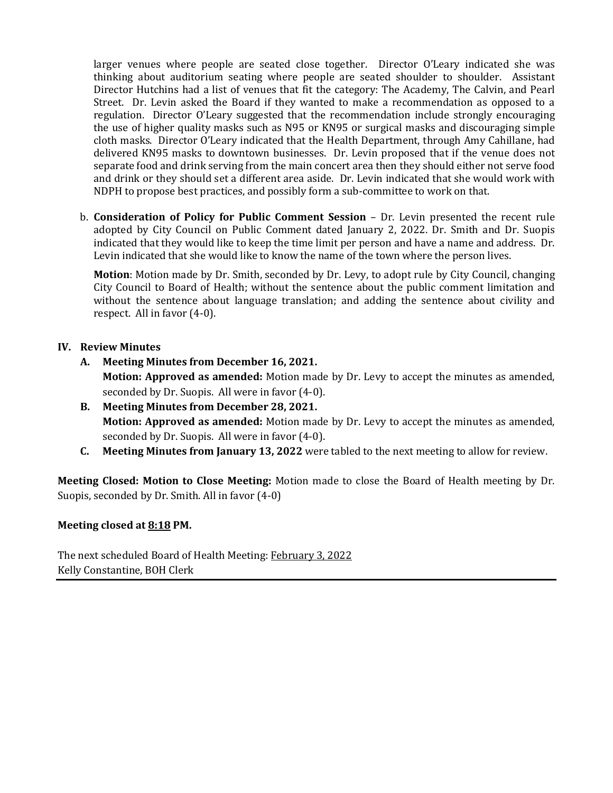larger venues where people are seated close together. Director O'Leary indicated she was thinking about auditorium seating where people are seated shoulder to shoulder. Assistant Director Hutchins had a list of venues that fit the category: The Academy, The Calvin, and Pearl Street. Dr. Levin asked the Board if they wanted to make a recommendation as opposed to a regulation. Director O'Leary suggested that the recommendation include strongly encouraging the use of higher quality masks such as N95 or KN95 or surgical masks and discouraging simple cloth masks. Director O'Leary indicated that the Health Department, through Amy Cahillane, had delivered KN95 masks to downtown businesses. Dr. Levin proposed that if the venue does not separate food and drink serving from the main concert area then they should either not serve food and drink or they should set a different area aside. Dr. Levin indicated that she would work with NDPH to propose best practices, and possibly form a sub-committee to work on that.

b. **Consideration of Policy for Public Comment Session** – Dr. Levin presented the recent rule adopted by City Council on Public Comment dated January 2, 2022. Dr. Smith and Dr. Suopis indicated that they would like to keep the time limit per person and have a name and address. Dr. Levin indicated that she would like to know the name of the town where the person lives.

**Motion**: Motion made by Dr. Smith, seconded by Dr. Levy, to adopt rule by City Council, changing City Council to Board of Health; without the sentence about the public comment limitation and without the sentence about language translation; and adding the sentence about civility and respect. All in favor (4-0).

## **IV. Review Minutes**

**A. Meeting Minutes from December 16, 2021.**

**Motion: Approved as amended:** Motion made by Dr. Levy to accept the minutes as amended, seconded by Dr. Suopis. All were in favor (4-0).

- **B. Meeting Minutes from December 28, 2021. Motion: Approved as amended:** Motion made by Dr. Levy to accept the minutes as amended, seconded by Dr. Suopis. All were in favor (4-0).
- **C. Meeting Minutes from January 13, 2022** were tabled to the next meeting to allow for review.

**Meeting Closed: Motion to Close Meeting:** Motion made to close the Board of Health meeting by Dr. Suopis, seconded by Dr. Smith. All in favor (4-0)

## **Meeting closed at 8:18 PM.**

The next scheduled Board of Health Meeting: February 3, 2022 Kelly Constantine, BOH Clerk